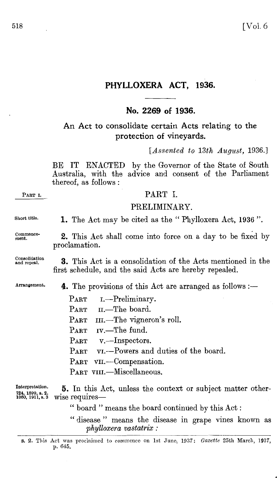# **PHYLLOXERA ACT, 1936.**

## **No. 2269 of 1936.**

# An Act to consolidate certain Acts relating to the protection of vineyards.

*[Assented to 13th August,* 1936.]

BE IT ENACTED by the Governor of the State of South Australia, with the advice and consent of the Parliament thereof, as follows :

## PART I.

## PRELIMINARY.

Short title.

1. The Act may be cited as the "Phylloxera Act, 1936".

2. This Act shall come into force on a day to be fixed by

Commencement.

Consolidation and repeal.

proclamation.

3. This Act is a consolidation of the Acts mentioned in the first schedule, and the said Acts are hereby repealed.

Arrangement.

**4.** The provisions of this Act are arranged as follows :—

 $\rm{PART}$ PART II.—The board. PART III.—The vigneron's roll. PART IV.—The fund. PART v.—Inspectors. PART VI.—Powers and duties of the board. I.-Preliminary. PART VII.-Compensation. PART VIII.-Miscellaneous.

Interpretation. 724, 1899, s. 2. 1060, 1911, s. 3 **5.** In this Act, unless the context or subject matter otherwise requires-

" board " means the board continued by this Act :

" disease " means the disease in grape vines known as *phylloxera vastatrix :* 

s. 2. This Act was proclaimed to commence on 1st June, 1937: *Gazette* 25th March, 1937, p. 645.

PART I.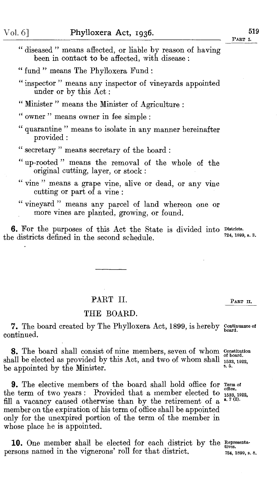| "diseased" means affected, or liable by reason of having |                                                |  |  |
|----------------------------------------------------------|------------------------------------------------|--|--|
|                                                          | been in contact to be affected, with disease : |  |  |

" Minister " means the Minister of Agriculture :

" owner " means owner in fee simple :

" quarantine " means to isolate in any manner hereinafter provided:

- "up-rooted" means the removal of the whole of the original cutting, layer, or stock :
- " vine " means a grape vine, alive or dead, or any vine cutting or part of a vine :
- "vineyard" means any parcel of land whereon one or more vines are planted, growing, or found.

6. For the purposes of this Act the State is divided into Districts. the districts defined in the second schedule. 724, 1899, s. 3.

## PART II. PART II.

#### THE BOARD.

7. The board created by The Phylloxera Act, 1899, is hereby Continuance of board. continued.

**8.** The board shall consist of nine members, seven of whom constitution shall be elected as provided by this Act, and two of whom shall  $\frac{1533}{1533, 1922}$ , be appointed by the Minister.

**9.** The elective members of the board shall hold office for  $\lim_{\text{office.}}$ the term of two years: Provided that a member elected to fill a vacancy caused otherwise than by the retirement of a 1533, 1922, s. 7 \2). member on the expiration of his term of office shall be appointed only for the unexpired portion of the term of the member in whose place he is appointed.

10. One member shall be elected for each district by the Representapersons named in the vignerons' roll for that district.

•

724, 1899, s. 8.

<sup>&</sup>quot; fund " means The Phylloxera Fund :

<sup>&</sup>quot; inspector " means any inspector of vineyards appointed under or by this Act :

<sup>&</sup>quot; secretary " means secretary of the board :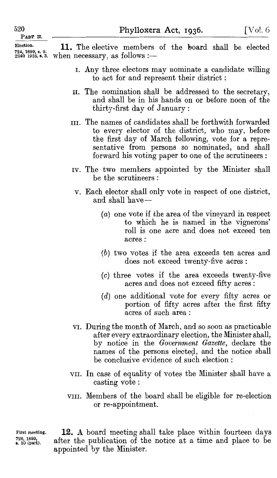PART U.

Election.

 $724, 1899, 8, 9.$ <br> $2240, 1935, 8, 3.$  when necessary, as follows :— **11.** The elective members of the 'board shall be elected

- 1. Any three electors may nominate a candidate willing to act for and represent their district :
- II. The nomination shall be addressed to the secretary, and shall be in his hands on or before noon of the thirty-first day of January :
- III. The names of candidates shall be forthwith forwarded to every elector of the district, who may, before the first day of March following, vote for a representative from persons so nominated, and shall forward his voting paper to one of the scrutineers:
- rv. The two members appointed by the Minister shall be the scrutineers :
- v. Each elector shall only vote in respect of one district, and shall have-
	- (*a*) one vote if the area of the vineyard in respect to which he is named in the vignerons' roll is one acre and does not exceed ten acres:
	- (b) two votes if the area exceeds ten acres and does not exceed twenty-five acres:
	- (c) three votes if the area exceeds twenty-five acres and does not exceed fifty acres :
	- (d) one additional vote for every fifty acres or portion of fifty acres after the first fifty acres of such area :
- VI. During the month of March, and so soon as practicable after every extraordinary election, the Minister shall, by notice in the *Government Gazette,* declare the names of the persons electeQ\_, and the notice shall be conclusive evidence of such election:
- VII. In case of equality of votes the Minister shall have a casting vote:
- VIII. Members of the board shall be eligible for re-election or re-appointment.

First meeting. 726, 1899,<br>s. 10 (part).

**12.** A board meeting shall take place within fourteen days after the publication of the notice at a time and place to be appointed by the Minister.

520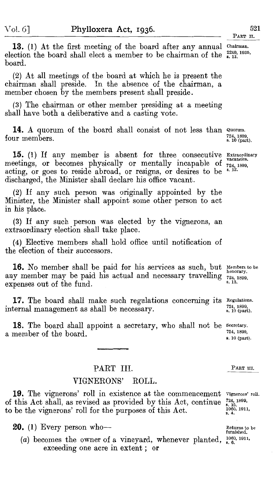521 PART II.

13. (1) At the first meeting of the board after any annual Chairman. election the board shall elect a member to be chairman of the  $\frac{2240}{\text{s}}$ , 1935, board.

(2) At all meetings of the board at which he is present the chairman shall preside. In the absence of the chairman, a member chosen by the members present shall preside.

(3) The chairman or other member presiding at a meeting shall have both a deliberative and a casting vote.

**14.** A quorum of the board shall consist of not less than Quorum. four members.

15. (1) If any member is absent for three consecutive Extraordinary meetings, or becomes physically or mentally incapable of  $\frac{1}{724,1899}$ acting, or goes to reside abroad, or resigns, or desires to be discharged, the Minister shall declare his office vacant.

(2) If any such person was originally appointed by the Minister, the Minister shall appoint some other person to act in his place.

(3) If any such person was elected by the vignerons, an extraordinary election shall take place.

(4) Elective members shall hold office until notification of the election of their successors.

**16.** No member shall be paid for his services as such, but Members to be any member may be paid his actual and necessary travelling  $\frac{1}{244,1899}$ , see axpanses out of the fund expenses out of the fund.

17. The board shall make such regulations concerning its Regulations. internal management as shall be necessary.

18. The board shall appoint a secretary, who shall not be Secretary. a member of the board.

#### PART III.

## VIGNERONS' ROLL.

19. The vignerons' roll in existence at the commencement Vignerons' roll. of this Act shall, as revised as provided by this Act, continue to be the vignerons' roll for the purposes of this Act.

**20.** (1) Every person who-

(a) becomes the owner of a vineyard, whenever planted,  $^{1060, 1911}_{8, 6}$ . exceeding one acre in extent ; or

724, 1899, s. 10 (part).

724, 1899,<br>s. 12.

724, 1899, s. 10 (part).

724, 1899, s. 10 (part).

PART III.

724, 1899,<br>s. 15.<br>1060, 1911,<br>s. 4.

Returns to be furnished.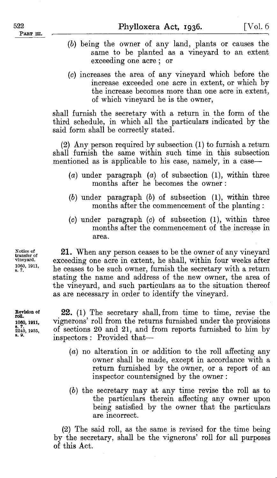- (b) being the owner of any land, plants or causes the same to be planted as a vineyard to an extent exceeding one acre ; or
- (c) increases the area of any vineyard which before the increase exceeded one acre in extent, or which by the increase becomes more than one acre in extent, of which vineyard he is the owner,

shall furnish the secretary with a return in the form of the third schedule, in which all the particulars indicated by the said form shall be correctly stated.

(2) Any person required by subsection (I) to furnish a return shall furnish the same within such time in this subsection mentioned as is applicable to his case, namely, in a case-

- (a) under paragraph (a) of subsection (I), within three months after he becomes the owner :
- (b) under paragraph (b) of subsection (I), within three months after the commencement of the planting:
- (c) under paragraph (c) of subsection (I), within three months after the commencement of the increase in area.

**21.** When any person ceases to be the owner of any vineyard exceeding one acre in extent, he shall, within four weeks after he ceases to be such owner, furnish the secretary with a return stating the name and address of the new owner, the area of the vineyard, and such particulars as to the situation thereof as are necessary in order to identify the vineyard.

**22.** (I) The secretary shall, from time to time, revise the vignerons' roll from the returns furnished under the provisions of sections 20 and 2I, and from reports furnished to him by inspectors : Provided that-

- $(a)$  no alteration in or addition to the roll affecting any owner shall be made, except in accordance with a return furnished by the owner, or a report of an inspector countersigned by the owner :
- (b) the secretary may at any time revise the roll as to the particulars therein affecting any owner upon being satisfied by the owner that the particulars are incorrect.

(2) The said roll, as the same is revised for the time being by the secretary, shall be the vignerons' roll for all purposes of this Act.

Notice of transfer of vineyard. 1060, 1911, s. 7.

Revision of roll. 1060, 1911,<br>s. 7. 2240, 1935,<br>s. 9.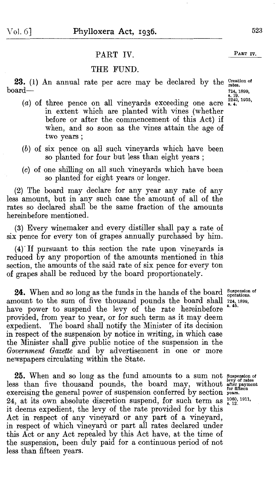Vol. 6] **Phylloxera Act, 1936.** 523

## PART IV. PART IV.

#### THE FUND.

**23.** (1) An annual rate per acre may be declared by the Creation of  $\frac{1}{2}$  s.

- $(a)$  of three pence on all vineyards exceeding one acre in extent which are planted with vines (whether before or after the commencement of this Act) if when, and so soon as the vines attain the age of two years;
- (b) of six pence on all such vineyards which have been so planted for four but less than eight years ;
- (c) of one shilling on all such vineyards which have been so planted for eight years or longer.

(2) The board may declare for any year any rate of any less amount, but in any such case the amount of all of the rates so declared shall be the same fraction of the amounts hereinbefore mentioned.

(3) Every winemaker and every distiller shall pay a rate of six pence for every ton of grapes annually purchased by him.

 $(4)$  If pursuant to this section the rate upon vineyards is reduced by any proportion of the amounts mentioned in this section, the amounts of the said rate of six pence for every ton of grapes shall be reduced by the board proportionately.

**24.** When and so long as the funds in the hands of the board amount to the sum of five thousand pounds the board shall  $724,1899$ , have power to suspend the levy of the rate hereinbefore provided, from year to year, or for such term as it may deem expedient. The board shall notify the Minister of its decision in respect of the suspension by notice in writing, in which case the Minister shall give public notice of the suspension in the Government Gazette and by advertisement in one or more newspapers circulating within the State.

**25.** When and so long as the fund amounts to a sum not suspension of levy of rates than five thousand pounds, the board may, without after payment exercising the general power of suspension conferred by section years. 24, at its own absolute discretion suspend, for such term as  $^{1060, 1911}_{8, 12}$ . it deems expedient, the levy of the rate provided for by this Act in respect of any vineyard or any part of a vineyard, in respect of which vineyard or part all rates declared under this Act or any Act repealed by this Act have, at the time of the suspension, been duly paid for a continuous period of not less than fifteen years.

Suspension of operations.

724, 1899,<br>s. 19.<br>2240, 1935,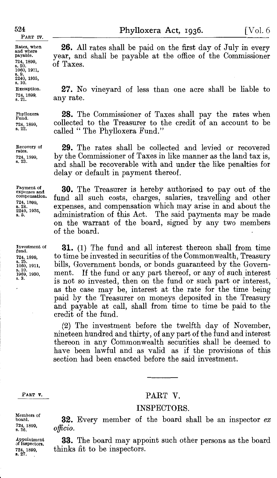#### 524

Rates, when and where payable. 724, 1899,<br>s. 20. 1060, 1911,<br>s. 9.<br>2240, 1935,<br>s. 10. Exemption. 724, 1899, s. 21.

PART IV.

Phylloxera Fund. 724, 1899, B. 22.

Recovery of rates. 724, 1899,<br>s. 23.

Payment of expenses and compensation. 724, 1899, s. 24.<br>2240, 1935,<br>s. 5.

Investment of fund. 724, 1899,<br>s. 25.<br>1060, 1911, s. 10.<br>1969, 1930,<br>s. 3.

PART **v.** 

Members of board. 724, 1899, s. 26.

Appointment<br>of inspectors. 724, 1899, 8. 27.

Phylloxera Act, 1936.  $[Vol. 6]$ 

26. All rates shall be paid on the first day of July in every year, and shall be payable at the office of the Commissioner of Taxes.

27. No vineyard of less than one acre shall be liable to any rate.

28. The Commissioner of Taxes shall pay the rates when collected to the Treasurer to the credit of an account to be called "The Phylloxera Fund."

29. The rates shall be collected and levied or recovered by the Commissioner of Taxes in like manner as the land tax is, and shall be recoverable with and under the like penalties for delay or default in payment thereof.

30. The Treasurer is hereby authorised to pay out of the fund all such costs, charges, salaries, travelling and other expenses, and compensation which may arise in and about the administration of this Act. The said payments may be made on the warrant of the board, signed by any two members of the board.

31. (I) The fund and all interest thereon shall from time to time be invested in securities of the Commonwealth, Treasury bills, Government bonds, or bonds guaranteed by the Government. If the fund or any part thereof, or any of such interest is not so invested, then on the fund or such part or interest, as the case may be, interest at the rate for the time being paid by the Treasurer on moneys deposited in the Treasury and payable at call, shall from time to time be paid to the credit of the fund.

(2) The investment before the twelfth day of November, nineteen hundred and thirty, of any part of the fund and interest thereon in any Commonwealth securities shall be deemed to have been lawful and as valid as if the provisions of this section had been enacted before the said investment.

#### PART V.

#### INSPECTORS.

32. Every member of the board shall be an inspector *ex officio.* 

**33.** The board may appoint such other persons as the board thinks fit to be inspectors.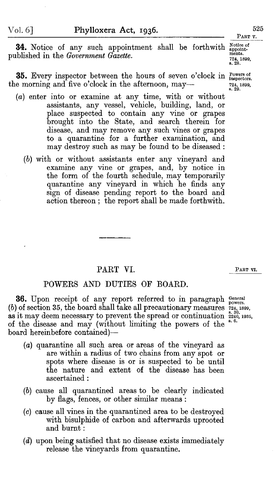**34.** Notice of any such appointment shall be forthwith  $_{\text{apoint}}^{\text{Notice of}}$ published in the *Government Gazette.* 

35. Every inspector between the hours of seven o'clock in Fowers of the morning and five o'clock in the afternoon, may—

- (a) enter into or examine at any time, with or without assistants, any vessel, vehicle, building, land, or place suspected to contain any vine or grapes brought into the State, and search therein for disease, and may remove any such vines or grapes to a quarantine for a further examination, and may destroy such as may be found to be diseased:
	- (b) with or without assistants enter any vineyard and examine any vine or grapes, and, by notice in the form of the fourth schedule, may temporarily quarantine any vineyard in which he finds any sign of disease pending report to the board and action thereon ; the report shall be made forthwith.

#### PART VI.

#### POWERS AND DUTIES OF BOARD.

36. Upon receipt of any report referred to in paragraph General (b) of section 35, the board shall take all precautionary measures  $\frac{724}{60}$ , 1899, as it may deem necessary to prevent the spread or continuation  $\frac{2220}{85.6}$  1935, of the disease and may (without limiting the powers of the board hereinbefore contained)-

- {a) quarantine all such area or areas of the vineyard as are within a radius of two chains from any spot or spots where disease is or is suspected to be until the nature and extent of the disease has been ascertained :
- (b) cause all quarantined areas to be clearly indicated by flags, fences, or other similar means :
- (c) cause all vines in the quarantined area to be destroyed with bisulphide of carbon and afterwards uprooted and burnt:
- (d) upon being satisfied that no disease exists immediately release the vineyards from quarantine.

ments. 724, 1899, s. 28.

724, 1899,<br>s. 29.

PART VI.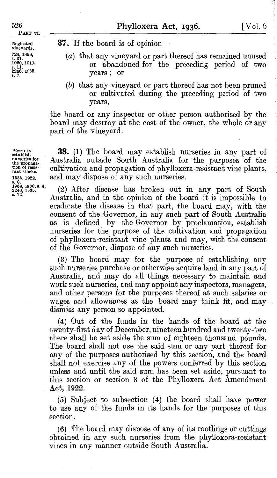Neglected vineyards. 724, 1899,<br>s. 31.<br>1060, 1911,<br>s. 11. s. 11.<br>2240, 1935,<br>s. 7.

**Phylloxera Act, 1936.** [Vol. 6

**37.** If the board is of opinion—

- (a) that. any vineyard or part thereof has remained unused or abandoned for the preceding period of two years; or
- (b) that any vineyard or part thereof has not been pruned or cultivated during the preceding period of two years,

the board or any inspector or other person authorised by the board may destroy at the cost of the owner, the whole or any part of the vineyard.

**38. (1)** The board may establish nurseries in any part of Australia outside South Australia for the purposes of the cultivation and propagation of phylloxera-resistant vine plants, and may dispose of any such nurseries.

(2) After disease has broken out in any part of South Australia, and in the opinion of the board it is impossible to eradicate the disease in that part, the board may, with the consent of the Governor, in any such part of South Australia as is defined by the Governor by proclamation, establish nurseries for the purpose of the cultivation and propagation of phylloxera-resistant vine plants and may, with the consent of the Governor, dispose of any such nurseries.

(3) The board may for the purpose of establishing any such nurseries purchase or otherwise acquire land in any part of Australia, and may do all things necessary to maintain and work such nurseries, and may appoint any inspectors, managers, and other persons for the purposes thereof at such salaries or wages and allowances as the board may think fit, and may dismiss any person so appointed.

( 4) Out of the funds in the hands of the board at the twenty-first day of December, nineteen hundred and twenty-two there shall be set aside the sum of eighteen thousand pounds. The board shall not use the said sum or any part thereof for any of the purposes authorised by this section, and the board shall not exercise any of the powers conferred by this section unless and until the said sum has been set aside, pursuant to this section or section 8 of the Phylloxera Act Amendment Act, 1922.

(5) Subject to subsection (4) the board shall have power to use any of the funds in its hands for the purposes of this section.

(6) The board may dispose *ot* any of its rootlings or cuttings obtained in any such nurseries from the phylloxera-resistant vines in any manner outside South Australia.

Power to establish nurseries *tor* the propaga-<br>tion of resis-<br>tant stocks. 1533, 1922, s. 8.<br>1969. 1930. s. 4. 2240, 1935.<br>s. 12.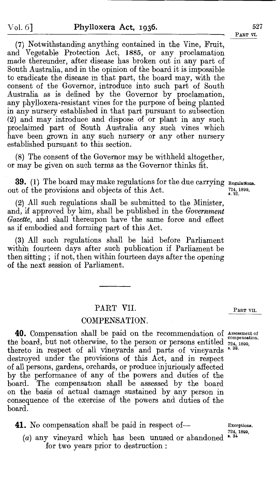$527$ Part vi.

(7) Notwithstanding anything contained in the Vine, Fruit, and Vegetable Protection Act, 1885, or any proclamation made thereunder, after disease has broken out in any part of South Australia, and in the opinion of the board it is impossible to eradicate the disease in that part, the board may, with the consent of the Governor, introduce into such part of South Australia as is defined by the Governor by proclamation, any phylloxera-resistant vines for the purpose of being planted in any nursery established in that part pursuant to subsection (2) and may introduce and dispose of or plant in any such proclaimed part of South Australia any such vines which have been grown in any such nursery or any other nursery established pursuant to this section.

(8) The consent of the Governor may be withheld altogether, or may be given on such terms as the Governor thinks fit.

**39.** (1) The board may make regulations for the due carrying  $\frac{39}{724,1899,1899}$  to the provisions and objects of this Act. out of the provisions and objects of this Act.

(2) All such regulations shall be submitted to the Minister, and, if approved by him, shall be published in the *Government Gazette,* and shall thereupon have the same force and effect as if embodied and forming part of this Act.

(3) All such regulations shall be laid before Parliament within fourteen days after such publication if Parliament be then sitting ; if not, then within fourteen days after the opening of the next session of Parliament.

#### PART VII.

## COMPENSATION.

**40.** Compensation shall be paid on the recommendation of Assessment of the board, but not otherwise, to the person or persons entitled  $\frac{724}{724}$ , 1899, thereto in respect of all vineyards and parts of vineyards 8.38. thereto in respect of all vineyards and parts of vineyards destroyed under the provisions of this Act, and in respect of all persons, gardens, orchards, or produce injuriously affected by the performance of any of the powers and duties of the board. The compensation shall be assessed by the board on the basis of actual damage sustained by any person in consequence of the exercise of the powers and duties of the board.

**41.** No compensation shall be paid in respect of-<br>Exceptions.

 $(a)$  any vineyard which has been unused or abandoned for two years prior to destruction :

PART VII.

724, 1899,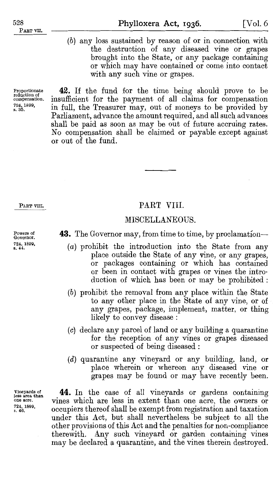Proportionate reduction of compensation. 724, 1899,<br>s. 35.

PART VIII.

Powers of Governor. 724, 1899,<br>s. 44. (b) any loss sustained by reason of or in connection with the destruction of any diseased vine or grapes brought into the State, or any package containing or which may have contained or come into contact with any such vine or grapes.

**42.** If the fund for the time being should prove to be insufficient for the payment of all claims for compensation in full, the Treasurer may, out of moneys to be provided by Parliament, advance the amount required, and all such advances shall be paid as soon as may be out of future accruing rates. No compensation shall be claimed or payable except against or out of the fund.

#### PART VIII.

#### MISCELLANEOUS.

**43.** The Governor may, from time to time, by proclamation—

- (*a*) prohibit the introduction into the State from any place outside the State of any vine, or any grapes, or packages containing or which has contained or been in contact with grapes or vines the introduction of which has been or may be prohibited :
- (b) prohibit the removal from any place within the State to any other place in the State of any vine, or of any grapes, package, implement, matter, or thing likely to convey disease :
- (c) declare any parcel of land or any building a quarantine for the reception of any vines or grapes diseased or suspected of being diseased :
- (d) quarantine any vineyard or any building, land, or place wherein or whereon any diseased vine or grapes may be found or may have recently been.

**44.** In the case of all vineyards or gardens containing vines which are less in extent than one acre, the owners or occupiers thereof shall be exempt from registration and taxation under this Act, but shall nevertheless be subject to all the other provisions of this Act and the penalties for non-compliance therewith. Any such vineyard or garden containing vines may be declared a quarantine, and the vines therein destroyed.

Vineyards of Jess area than **one acre.**  724, 1899, s. 46.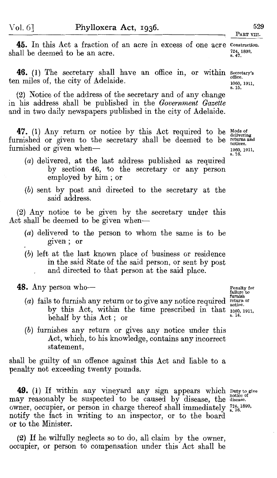**45.** In this Act a fraction of an acre in excess of one acre Construction. shall be deemed to be an acre. 724, 1899,<br>s. 47.

**46.** (1) The secretary shall have an office in, or within secretary's ten miles of, the city of Adelaide.

(2) Notice of the address of the secretary and of any change in his address shall be published in the *Government Gazette*  and in two daily newspapers published in the city of Adelaide.

47. (1) Any return or notice by this Act required to be Mode of delivering furnished or given to the secretary shall be deemed to be furnished or given when-

- (a) delivered, at the last address published as required by section 46, to the secretary or any person employed by him ; or
- (b) sent by post and directed to the secretary at the said address.

(2) Any notice to be given by the secretary under this Act shall be deemed to be given when-

- $(a)$  delivered to the person to whom the same is to be given; or
- (b) left at the last known place of business or residence in the said State of the said person, or sent by post and directed to that person at the said place.

48. Any person who-

- (a) fails to furnish any return or to give any notice required  $\frac{\text{furnish}}{\text{notice}}$  by this Act, within the time prescribed in that  $\frac{10000}{80,1911}$ behalf by this Act; or
- (b) furnishes any return or gives any notice under this Act, which, to his knowledge, contains any incorrect statement,

shall be guilty of an offence against this Act and liable to a penalty not exceeding twenty pounds.

**49.** (1) If within any vineyard any sign appears which puty to give **below** that the disease. (1) If when the disease where  $\frac{1}{n}$  may reasonably be suspected to be caused by disease, the disease. owner, occupier, or person in charge thereof shall immediately  $^{724,1899}_{8,36}$ . notify the fact in writing to an inspector, or to the board or to the Minister.

(2) If he wilfully neglects so to do, all claim by the owner, occupier, or person to compensation under this Act shall be

returns and notices. 1060, 1911, s. 16.

Penalty for<br>failure to<br>furnish

office. 1060, 1911, s. 15.

PART VIII.

529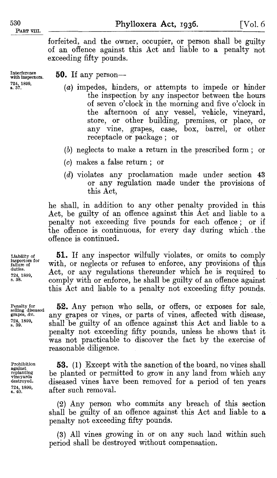BART VIII.

**Phylloxera Act, 1936.** [Vol. 6

forfeited, and the owner, occupier, or person shall be guilty of an offence against this Act and liable to a penalty not exceeding fifty pounds.

Interference with Inspectors. 724, 1899, s. 37.

**50.** If any person—

- (a) impedes, hinders, or attempts to impede or hinder the inspection by any inspector between the hours of seven o'clock in the morning and five o'clock in the afternoon of any vessel, vehicle, vineyard, store, or other building, premises, or place, or any vine, grapes, case, box, barrel, or other receptacle or package ; or
- (b) neglects to make a return in the prescribed form ; or
- (c) makes a false return ; or
- (d) violates any proclamation made under section 43 or any regulation made under the provisions of this Act,

he shall, in addition to any other penalty provided in this Act, be guilty of an offence against this Act and liable to a penalty not exceeding five pounds for each offence ; or if the offence is continuous, for every day during which . the offence is continued.

Liability of inspectors for failure of duties. 724, 1899, s. 38.

Penalty for selling diseased grapes, &c. 724, 1899, s. 39.

Prohibition against replanting vineyards destroyed. 724, 1899, s. 40.

**51.** If any inspector wilfully violates, or omits to comply with, or neglects or refuses to enforce, any provisions of this Act, or any regulations thereunder which he is required to comply with or enforce, he shall be guilty of an offence against this Act and liable to a penalty not exceeding fifty pounds.

**52.** Any person who sells, or offers, or exposes for sale, any grapes or vines, or parts of vines, affected with disease, shall be guilty of an offence against this Act and liable to a penalty not exceeding fifty pounds, unless he shows that it was not practicable to discover the fact by the exercise of reasonable diligence.

**53.** (I) Except with the sanction of the board, no vines shall be planted or permitted to grow in any land from which any diseased vines have been removed for a period of ten years after such removal.

(2) Any person who commits any breach of this section shall be guilty of an offence against this Act and liable to a penalty not exceeding fifty pounds.

( 3) All vines growing in or on any such land within such period shall be destroyed without compensation.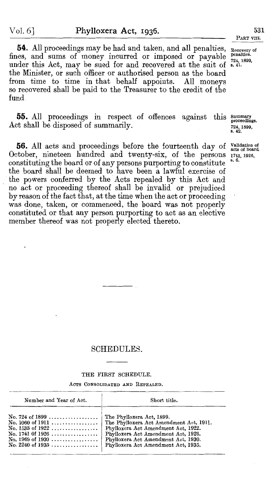54. All proceedings may be had and taken, and all penalties, Recovery of fines, and sums of money incurred or imposed or payable  $\frac{penalties}{724-1800}$ . under this Act, may be sued for and recovered at the suit of  $\frac{724}{100}$ , the Minister, or such officer or authorised person as the board from time to time in that behalf appoints. All moneys so recovered shall be paid to the Treasurer to the credit of the fund

55. All proceedings in respect of offences against this Summary proceedings. Act shall be disposed of summarily.

56. All acts and proceedings before the fourteenth day of Validation of acts of board. October, nineteen hundred and twenty-six, of the persons  $1741, 1926$ , constituting the board or of any persons purporting to constitute the board shall be deemed to have been a lawful exercise of the powers conferred by the Acts repealed by this Act and no act or proceeding thereof shall be invalid or prejudiced by reason of the fact that, at the time when the act or proceeding was done, taken, or commenced, the board was not properly constituted or that any person purporting to act as an elective member thereof was not properly elected thereto.

724, 1899, s. 42.

## SCHEDULES.

#### THE FIRST SCHEDULE.

ACTS CONSOLIDATED AND REPEALED.

| Number and Year of Act.                                                              | Short title.                                                               |  |  |
|--------------------------------------------------------------------------------------|----------------------------------------------------------------------------|--|--|
| No. 724 of 1899  The Phylloxera Act, 1899.<br>No. 1533 of $1922$<br>No. 1741 0f 1926 | Phylloxera Act Amendment Act, 1922.<br>Phylloxera Act Amendment Act, 1926. |  |  |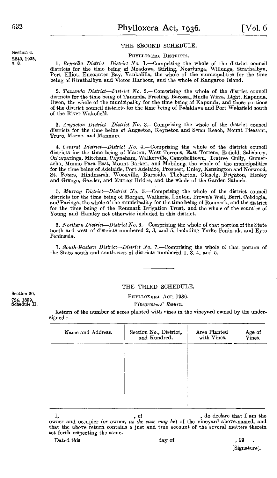#### THE SECOND SCHEDULE.

#### PHYLI.OXERA DISTRICTS.

1. Reynella District—District No. 1.—Comprising the whole of the district council districts for the time being of Meadows, Stirling, Noarlunga, Willunga, Strathalbyn, Port Elliot, Encounter Bay, Yankalilla, the whole of th being of Strathalbyn and Victor Harbour, and the whole of Kangaroo Island.

2. *Tanunrla District-Distrid No.* 2.- Comprising the whole of the district council districts for the time being of Tanunda, Freeling, Barossa, Mudla Wirra, Light, Kapunda, Owen, the whole of the municipality for the time being of Kapunda, and those portions of the district council districts for the time being of Balaklava and Port Wakefield south of the River Wakefield.

3. *Anqaston District-District No.* 3.-Comprising the whole of the district council districts for the time being of Angaston, Keyneton and Swan Reach, Mount Pleasant, Truro, Marne, and Mannum.

4. Central District—District No. 4.—Comprising the whole of the district council districts for the time being of Marion, West Torrens, East Torrens, Enfield, Salisbury, Onkaparinga, Mitcham, Payneham, Walkerville, Campbell acha, Munno Para East, Mount Barker, and Mobilong, the whole of the municipalities for the time being of Adelaide, Port Adelaide, Prospect, Unley, Kensington and Norwood, St. Peters, Hindmarsh, Woodville, Burnside, Thebarton, Glenelg, Brighton, Henley and Grange, Gawler, and Murray Bridge, and the whole of the Garden Suburb.

5. *Murray District-District No.* 5. Comprising the whole of the district council districts for the time being of Morgan, Waikerie, Loxton, Brown's Well, Berri, Cobdogla, and Paringa, the whole of the municipality for the time being of Renmark, and the district for the time being of the Renmark Irrigation Trust, and the whole of the counties of Young and Hamley not otherwise included in this district.

6. *Northern District-District No.* 6.-Comprising the whole of that portion of the State north and west of districts numbered 2, 3, and 5, including Yorke Peninsula and Eyre Peninsula.

7. *South-Eastern District-District No.* 7.-Comprising the whole of that portion of the State south and south-east of districts numbered l, 3, 4, and 5.

Section 20. 724, 1899, Schedule II.

#### THE THIRD SCHEDULE.

PHYLLOXERA AcT, 1936.

*Vinegrowers' Return.* 

Return of the number of acres planted with vines in the vineyard owned by the under.  $\:$ signed :--

| Area Planted<br>Age of<br>Vines.<br>with Vines. |
|-------------------------------------------------|
|                                                 |
|                                                 |
|                                                 |
|                                                 |
|                                                 |

 $\bullet$ , do declare that I am the owner and occupier *(or* owner, *as the case may be)* of the vineyard above-named, and that the above return contains a just and true account of the several matters therein set forth respecting the same.

| Dated this | day of | -19 |
|------------|--------|-----|
|            |        |     |

[Signature].

Section 6. 2240, 1935,<br>s. 8.